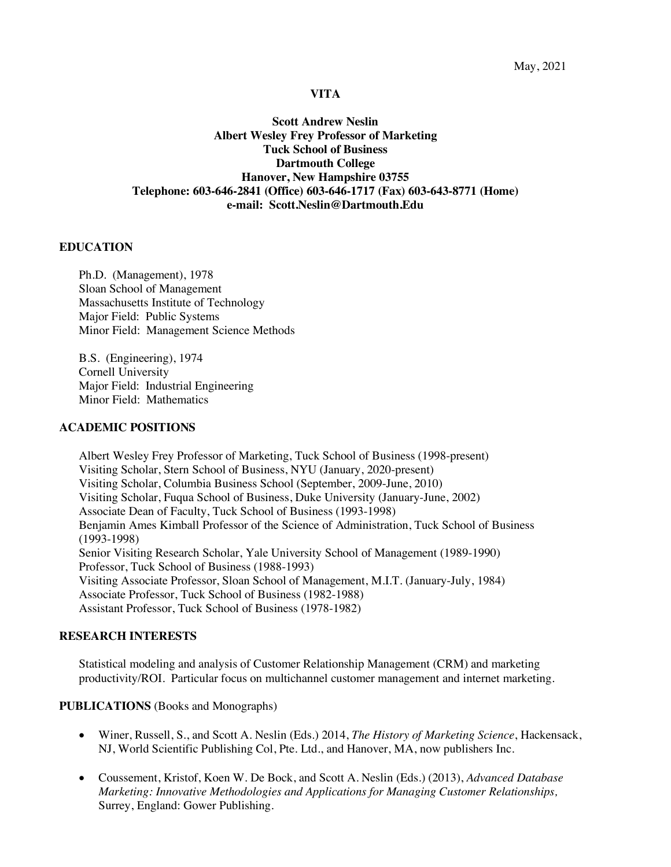#### **VITA**

**Scott Andrew Neslin Albert Wesley Frey Professor of Marketing Tuck School of Business Dartmouth College Hanover, New Hampshire 03755 Telephone: 603-646-2841 (Office) 603-646-1717 (Fax) 603-643-8771 (Home) e-mail: Scott.Neslin@Dartmouth.Edu**

#### **EDUCATION**

Ph.D. (Management), 1978 Sloan School of Management Massachusetts Institute of Technology Major Field: Public Systems Minor Field: Management Science Methods

B.S. (Engineering), 1974 Cornell University Major Field: Industrial Engineering Minor Field: Mathematics

#### **ACADEMIC POSITIONS**

Albert Wesley Frey Professor of Marketing, Tuck School of Business (1998-present) Visiting Scholar, Stern School of Business, NYU (January, 2020-present) Visiting Scholar, Columbia Business School (September, 2009-June, 2010) Visiting Scholar, Fuqua School of Business, Duke University (January-June, 2002) Associate Dean of Faculty, Tuck School of Business (1993-1998) Benjamin Ames Kimball Professor of the Science of Administration, Tuck School of Business (1993-1998) Senior Visiting Research Scholar, Yale University School of Management (1989-1990) Professor, Tuck School of Business (1988-1993) Visiting Associate Professor, Sloan School of Management, M.I.T. (January-July, 1984) Associate Professor, Tuck School of Business (1982-1988) Assistant Professor, Tuck School of Business (1978-1982)

#### **RESEARCH INTERESTS**

Statistical modeling and analysis of Customer Relationship Management (CRM) and marketing productivity/ROI. Particular focus on multichannel customer management and internet marketing.

#### **PUBLICATIONS** (Books and Monographs)

- Winer, Russell, S., and Scott A. Neslin (Eds.) 2014, *The History of Marketing Science*, Hackensack, NJ, World Scientific Publishing Col, Pte. Ltd., and Hanover, MA, now publishers Inc.
- Coussement, Kristof, Koen W. De Bock, and Scott A. Neslin (Eds.) (2013), *Advanced Database Marketing: Innovative Methodologies and Applications for Managing Customer Relationships,*  Surrey, England: Gower Publishing.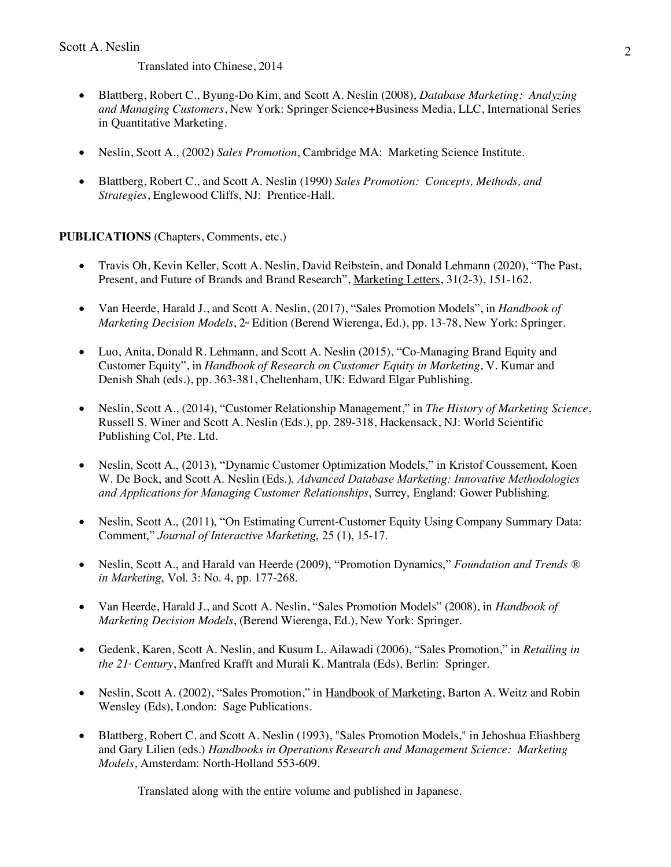Translated into Chinese, 2014

- Blattberg, Robert C., Byung-Do Kim, and Scott A. Neslin (2008), *Database Marketing: Analyzing and Managing Customers*, New York: Springer Science+Business Media, LLC, International Series in Quantitative Marketing.
- Neslin, Scott A., (2002) *Sales Promotion*, Cambridge MA: Marketing Science Institute.
- Blattberg, Robert C., and Scott A. Neslin (1990) *Sales Promotion: Concepts, Methods, and Strategies*, Englewood Cliffs, NJ: Prentice-Hall.

# **PUBLICATIONS** (Chapters, Comments, etc.)

- Travis Oh, Kevin Keller, Scott A. Neslin, David Reibstein, and Donald Lehmann (2020), "The Past, Present, and Future of Brands and Brand Research", Marketing Letters, 31(2-3), 151-162.
- Van Heerde, Harald J., and Scott A. Neslin, (2017), "Sales Promotion Models", in *Handbook of Marketing Decision Models*,  $2^{\omega}$  Edition (Berend Wierenga, Ed.), pp. 13-78, New York: Springer.
- Luo, Anita, Donald R. Lehmann, and Scott A. Neslin (2015), "Co-Managing Brand Equity and Customer Equity", in *Handbook of Research on Customer Equity in Marketing*, V. Kumar and Denish Shah (eds.), pp. 363-381, Cheltenham, UK: Edward Elgar Publishing.
- Neslin, Scott A., (2014), "Customer Relationship Management," in *The History of Marketing Science*, Russell S. Winer and Scott A. Neslin (Eds.), pp. 289-318, Hackensack, NJ: World Scientific Publishing Col, Pte. Ltd.
- Neslin, Scott A., (2013), "Dynamic Customer Optimization Models," in Kristof Coussement, Koen W. De Bock, and Scott A. Neslin (Eds.), *Advanced Database Marketing: Innovative Methodologies and Applications for Managing Customer Relationships*, Surrey, England: Gower Publishing.
- Neslin, Scott A., (2011), "On Estimating Current-Customer Equity Using Company Summary Data: Comment," *Journal of Interactive Marketing*, 25 (1), 15-17.
- Neslin, Scott A., and Harald van Heerde (2009), "Promotion Dynamics," *Foundation and Trends ® in Marketing*, Vol. 3: No. 4, pp. 177-268.
- Van Heerde, Harald J., and Scott A. Neslin, "Sales Promotion Models" (2008), in *Handbook of Marketing Decision Models*, (Berend Wierenga, Ed.), New York: Springer.
- Gedenk, Karen, Scott A. Neslin, and Kusum L. Ailawadi (2006), "Sales Promotion," in *Retailing in the 21<sup>s</sup> Century*, Manfred Krafft and Murali K. Mantrala (Eds), Berlin: Springer.
- Neslin, Scott A. (2002), "Sales Promotion," in Handbook of Marketing, Barton A. Weitz and Robin Wensley (Eds), London: Sage Publications.
- Blattberg, Robert C. and Scott A. Neslin (1993), "Sales Promotion Models," in Jehoshua Eliashberg and Gary Lilien (eds.) *Handbooks in Operations Research and Management Science: Marketing Models*, Amsterdam: North-Holland 553-609.

Translated along with the entire volume and published in Japanese.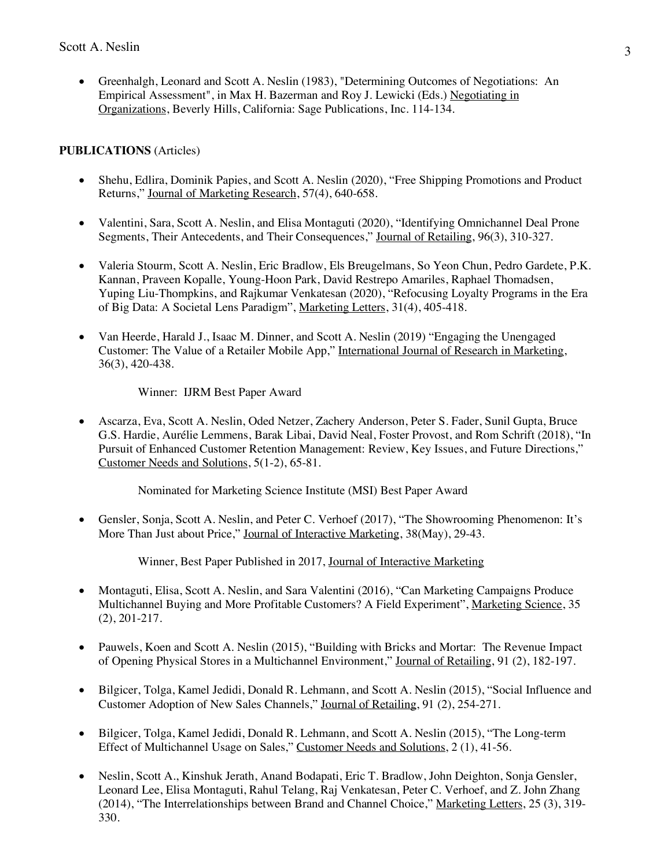• Greenhalgh, Leonard and Scott A. Neslin (1983), "Determining Outcomes of Negotiations: An Empirical Assessment", in Max H. Bazerman and Roy J. Lewicki (Eds.) Negotiating in Organizations, Beverly Hills, California: Sage Publications, Inc. 114-134.

## **PUBLICATIONS** (Articles)

- Shehu, Edlira, Dominik Papies, and Scott A. Neslin (2020), "Free Shipping Promotions and Product Returns," Journal of Marketing Research, 57(4), 640-658.
- Valentini, Sara, Scott A. Neslin, and Elisa Montaguti (2020), "Identifying Omnichannel Deal Prone Segments, Their Antecedents, and Their Consequences," Journal of Retailing, 96(3), 310-327.
- Valeria Stourm, Scott A. Neslin, Eric Bradlow, Els Breugelmans, So Yeon Chun, Pedro Gardete, P.K. Kannan, Praveen Kopalle, Young-Hoon Park, David Restrepo Amariles, Raphael Thomadsen, Yuping Liu-Thompkins, and Rajkumar Venkatesan (2020), "Refocusing Loyalty Programs in the Era of Big Data: A Societal Lens Paradigm", Marketing Letters, 31(4), 405-418.
- Van Heerde, Harald J., Isaac M. Dinner, and Scott A. Neslin (2019) "Engaging the Unengaged Customer: The Value of a Retailer Mobile App," International Journal of Research in Marketing, 36(3), 420-438.

Winner: IJRM Best Paper Award

• Ascarza, Eva, Scott A. Neslin, Oded Netzer, Zachery Anderson, Peter S. Fader, Sunil Gupta, Bruce G.S. Hardie, Aurélie Lemmens, Barak Libai, David Neal, Foster Provost, and Rom Schrift (2018), "In Pursuit of Enhanced Customer Retention Management: Review, Key Issues, and Future Directions," Customer Needs and Solutions, 5(1-2), 65-81.

Nominated for Marketing Science Institute (MSI) Best Paper Award

• Gensler, Sonja, Scott A. Neslin, and Peter C. Verhoef (2017), "The Showrooming Phenomenon: It's More Than Just about Price," Journal of Interactive Marketing, 38(May), 29-43.

Winner, Best Paper Published in 2017, Journal of Interactive Marketing

- Montaguti, Elisa, Scott A. Neslin, and Sara Valentini (2016), "Can Marketing Campaigns Produce Multichannel Buying and More Profitable Customers? A Field Experiment", Marketing Science, 35 (2), 201-217.
- Pauwels, Koen and Scott A. Neslin (2015), "Building with Bricks and Mortar: The Revenue Impact of Opening Physical Stores in a Multichannel Environment," Journal of Retailing, 91 (2), 182-197.
- Bilgicer, Tolga, Kamel Jedidi, Donald R. Lehmann, and Scott A. Neslin (2015), "Social Influence and Customer Adoption of New Sales Channels," Journal of Retailing, 91 (2), 254-271.
- Bilgicer, Tolga, Kamel Jedidi, Donald R. Lehmann, and Scott A. Neslin (2015), "The Long-term Effect of Multichannel Usage on Sales," Customer Needs and Solutions, 2 (1), 41-56.
- Neslin, Scott A., Kinshuk Jerath, Anand Bodapati, Eric T. Bradlow, John Deighton, Sonja Gensler, Leonard Lee, Elisa Montaguti, Rahul Telang, Raj Venkatesan, Peter C. Verhoef, and Z. John Zhang (2014), "The Interrelationships between Brand and Channel Choice," Marketing Letters, 25 (3), 319- 330.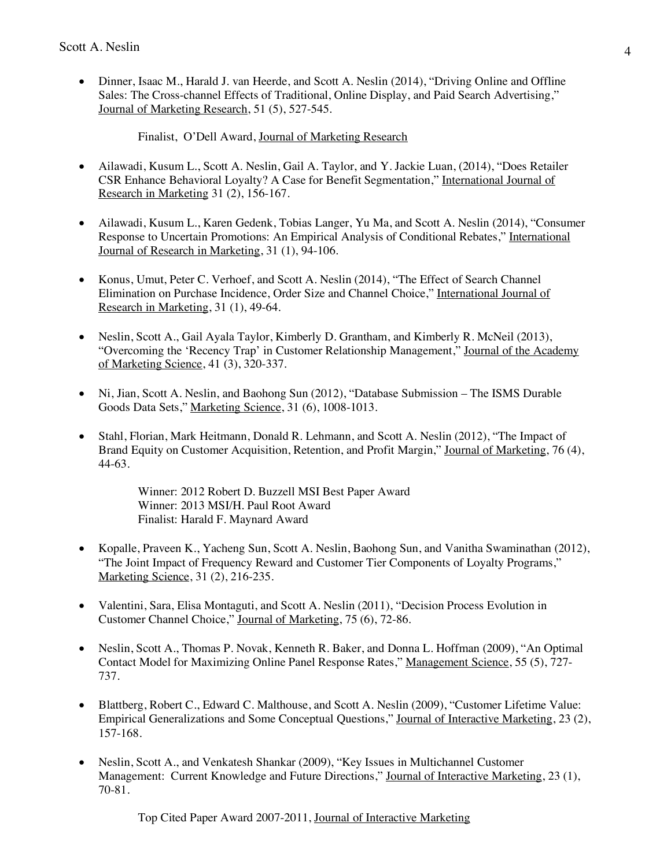• Dinner, Isaac M., Harald J. van Heerde, and Scott A. Neslin (2014), "Driving Online and Offline Sales: The Cross-channel Effects of Traditional, Online Display, and Paid Search Advertising," Journal of Marketing Research, 51 (5), 527-545.

Finalist, O'Dell Award, Journal of Marketing Research

- Ailawadi, Kusum L., Scott A. Neslin, Gail A. Taylor, and Y. Jackie Luan, (2014), "Does Retailer CSR Enhance Behavioral Loyalty? A Case for Benefit Segmentation," International Journal of Research in Marketing 31 (2), 156-167.
- Ailawadi, Kusum L., Karen Gedenk, Tobias Langer, Yu Ma, and Scott A. Neslin (2014), "Consumer Response to Uncertain Promotions: An Empirical Analysis of Conditional Rebates," International Journal of Research in Marketing, 31 (1), 94-106.
- Konus, Umut, Peter C. Verhoef, and Scott A. Neslin (2014), "The Effect of Search Channel Elimination on Purchase Incidence, Order Size and Channel Choice," International Journal of Research in Marketing, 31 (1), 49-64.
- Neslin, Scott A., Gail Ayala Taylor, Kimberly D. Grantham, and Kimberly R. McNeil (2013), "Overcoming the 'Recency Trap' in Customer Relationship Management," Journal of the Academy of Marketing Science, 41 (3), 320-337.
- Ni, Jian, Scott A. Neslin, and Baohong Sun (2012), "Database Submission The ISMS Durable Goods Data Sets," Marketing Science, 31 (6), 1008-1013.
- Stahl, Florian, Mark Heitmann, Donald R. Lehmann, and Scott A. Neslin (2012), "The Impact of Brand Equity on Customer Acquisition, Retention, and Profit Margin," Journal of Marketing, 76 (4), 44-63.

Winner: 2012 Robert D. Buzzell MSI Best Paper Award Winner: 2013 MSI/H. Paul Root Award Finalist: Harald F. Maynard Award

- Kopalle, Praveen K., Yacheng Sun, Scott A. Neslin, Baohong Sun, and Vanitha Swaminathan (2012), "The Joint Impact of Frequency Reward and Customer Tier Components of Loyalty Programs," Marketing Science, 31 (2), 216-235.
- Valentini, Sara, Elisa Montaguti, and Scott A. Neslin (2011), "Decision Process Evolution in Customer Channel Choice," Journal of Marketing, 75 (6), 72-86.
- Neslin, Scott A., Thomas P. Novak, Kenneth R. Baker, and Donna L. Hoffman (2009), "An Optimal Contact Model for Maximizing Online Panel Response Rates," Management Science, 55 (5), 727- 737.
- Blattberg, Robert C., Edward C. Malthouse, and Scott A. Neslin (2009), "Customer Lifetime Value: Empirical Generalizations and Some Conceptual Questions," Journal of Interactive Marketing, 23 (2), 157-168.
- Neslin, Scott A., and Venkatesh Shankar (2009), "Key Issues in Multichannel Customer Management: Current Knowledge and Future Directions," Journal of Interactive Marketing, 23 (1), 70-81.

Top Cited Paper Award 2007-2011, Journal of Interactive Marketing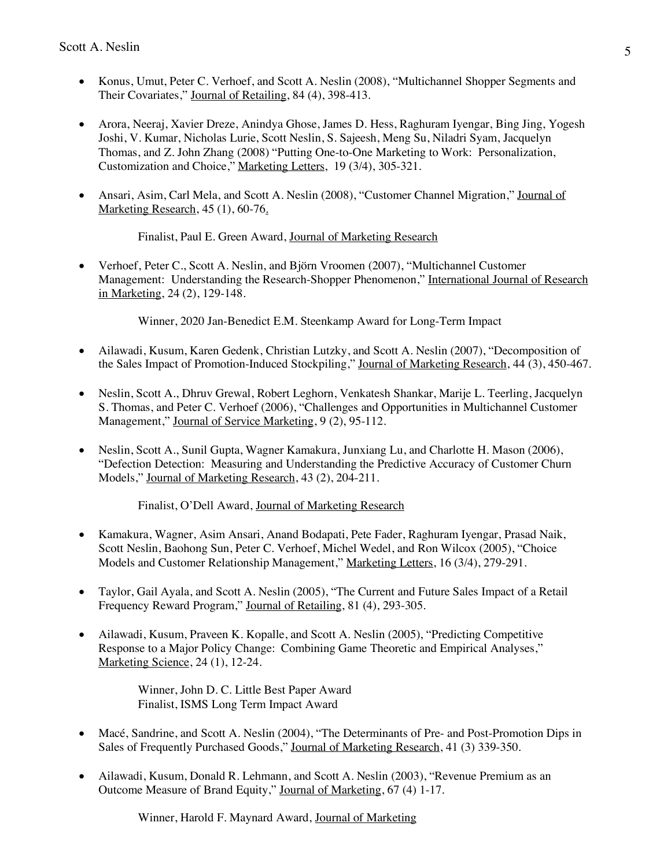- Konus, Umut, Peter C. Verhoef, and Scott A. Neslin (2008), "Multichannel Shopper Segments and Their Covariates," Journal of Retailing, 84 (4), 398-413.
- Arora, Neeraj, Xavier Dreze, Anindya Ghose, James D. Hess, Raghuram Iyengar, Bing Jing, Yogesh Joshi, V. Kumar, Nicholas Lurie, Scott Neslin, S. Sajeesh, Meng Su, Niladri Syam, Jacquelyn Thomas, and Z. John Zhang (2008) "Putting One-to-One Marketing to Work: Personalization, Customization and Choice," Marketing Letters, 19 (3/4), 305-321.
- Ansari, Asim, Carl Mela, and Scott A. Neslin (2008), "Customer Channel Migration," Journal of Marketing Research, 45 (1), 60-76.

Finalist, Paul E. Green Award, Journal of Marketing Research

• Verhoef, Peter C., Scott A. Neslin, and Björn Vroomen (2007), "Multichannel Customer Management: Understanding the Research-Shopper Phenomenon," International Journal of Research in Marketing, 24 (2), 129-148.

Winner, 2020 Jan-Benedict E.M. Steenkamp Award for Long-Term Impact

- Ailawadi, Kusum, Karen Gedenk, Christian Lutzky, and Scott A. Neslin (2007), "Decomposition of the Sales Impact of Promotion-Induced Stockpiling," Journal of Marketing Research, 44 (3), 450-467.
- Neslin, Scott A., Dhruv Grewal, Robert Leghorn, Venkatesh Shankar, Marije L. Teerling, Jacquelyn S. Thomas, and Peter C. Verhoef (2006), "Challenges and Opportunities in Multichannel Customer Management," Journal of Service Marketing, 9 (2), 95-112.
- Neslin, Scott A., Sunil Gupta, Wagner Kamakura, Junxiang Lu, and Charlotte H. Mason (2006), "Defection Detection: Measuring and Understanding the Predictive Accuracy of Customer Churn Models," Journal of Marketing Research, 43 (2), 204-211.

Finalist, O'Dell Award, Journal of Marketing Research

- Kamakura, Wagner, Asim Ansari, Anand Bodapati, Pete Fader, Raghuram Iyengar, Prasad Naik, Scott Neslin, Baohong Sun, Peter C. Verhoef, Michel Wedel, and Ron Wilcox (2005), "Choice Models and Customer Relationship Management," Marketing Letters, 16 (3/4), 279-291.
- Taylor, Gail Ayala, and Scott A. Neslin (2005), "The Current and Future Sales Impact of a Retail Frequency Reward Program," Journal of Retailing, 81 (4), 293-305.
- Ailawadi, Kusum, Praveen K. Kopalle, and Scott A. Neslin (2005), "Predicting Competitive Response to a Major Policy Change: Combining Game Theoretic and Empirical Analyses," Marketing Science, 24 (1), 12-24.

Winner, John D. C. Little Best Paper Award Finalist, ISMS Long Term Impact Award

- Macé, Sandrine, and Scott A. Neslin (2004), "The Determinants of Pre- and Post-Promotion Dips in Sales of Frequently Purchased Goods," Journal of Marketing Research, 41 (3) 339-350.
- Ailawadi, Kusum, Donald R. Lehmann, and Scott A. Neslin (2003), "Revenue Premium as an Outcome Measure of Brand Equity," Journal of Marketing, 67 (4) 1-17.

Winner, Harold F. Maynard Award, Journal of Marketing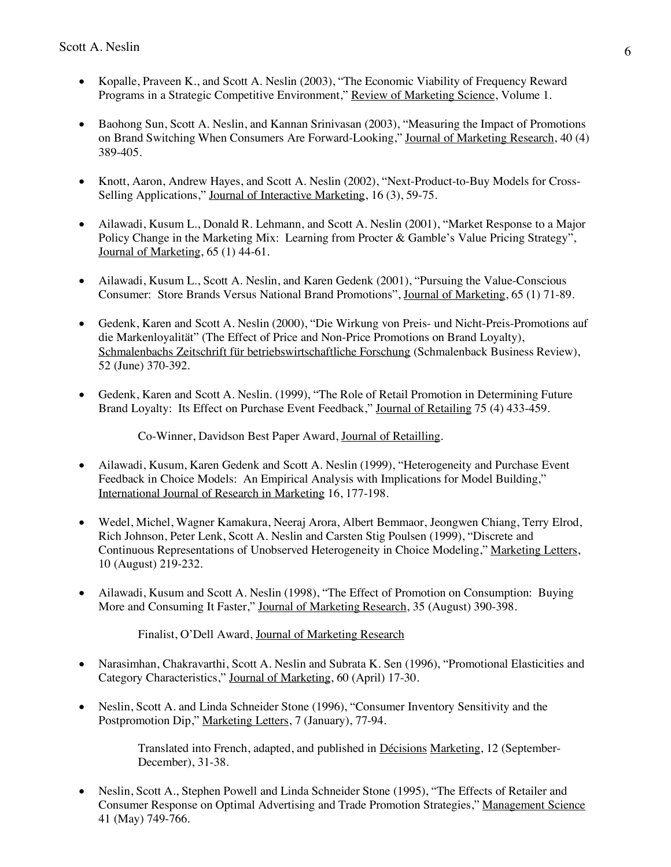- Kopalle, Praveen K., and Scott A. Neslin (2003), "The Economic Viability of Frequency Reward Programs in a Strategic Competitive Environment," Review of Marketing Science, Volume 1.
- Baohong Sun, Scott A. Neslin, and Kannan Srinivasan (2003), "Measuring the Impact of Promotions on Brand Switching When Consumers Are Forward-Looking," Journal of Marketing Research, 40 (4) 389-405.
- Knott, Aaron, Andrew Hayes, and Scott A. Neslin (2002), "Next-Product-to-Buy Models for Cross-Selling Applications," Journal of Interactive Marketing, 16 (3), 59-75.
- Ailawadi, Kusum L., Donald R. Lehmann, and Scott A. Neslin (2001), "Market Response to a Major Policy Change in the Marketing Mix: Learning from Procter & Gamble's Value Pricing Strategy", Journal of Marketing, 65 (1) 44-61.
- Ailawadi, Kusum L., Scott A. Neslin, and Karen Gedenk (2001), "Pursuing the Value-Conscious Consumer: Store Brands Versus National Brand Promotions", Journal of Marketing, 65 (1) 71-89.
- Gedenk, Karen and Scott A. Neslin (2000), "Die Wirkung von Preis- und Nicht-Preis-Promotions auf die Markenloyalität" (The Effect of Price and Non-Price Promotions on Brand Loyalty), Schmalenbachs Zeitschrift für betriebswirtschaftliche Forschung (Schmalenback Business Review), 52 (June) 370-392.
- Gedenk, Karen and Scott A. Neslin. (1999), "The Role of Retail Promotion in Determining Future Brand Loyalty: Its Effect on Purchase Event Feedback," Journal of Retailing 75 (4) 433-459.

Co-Winner, Davidson Best Paper Award, Journal of Retailling.

- Ailawadi, Kusum, Karen Gedenk and Scott A. Neslin (1999), "Heterogeneity and Purchase Event Feedback in Choice Models: An Empirical Analysis with Implications for Model Building," International Journal of Research in Marketing 16, 177-198.
- Wedel, Michel, Wagner Kamakura, Neeraj Arora, Albert Bemmaor, Jeongwen Chiang, Terry Elrod, Rich Johnson, Peter Lenk, Scott A. Neslin and Carsten Stig Poulsen (1999), "Discrete and Continuous Representations of Unobserved Heterogeneity in Choice Modeling," Marketing Letters, 10 (August) 219-232.
- Ailawadi, Kusum and Scott A. Neslin (1998), "The Effect of Promotion on Consumption: Buying More and Consuming It Faster," Journal of Marketing Research, 35 (August) 390-398.

Finalist, O'Dell Award, Journal of Marketing Research

- Narasimhan, Chakravarthi, Scott A. Neslin and Subrata K. Sen (1996), "Promotional Elasticities and Category Characteristics," Journal of Marketing, 60 (April) 17-30.
- Neslin, Scott A. and Linda Schneider Stone (1996), "Consumer Inventory Sensitivity and the Postpromotion Dip," Marketing Letters, 7 (January), 77-94.

Translated into French, adapted, and published in Décisions Marketing, 12 (September-December), 31-38.

• Neslin, Scott A., Stephen Powell and Linda Schneider Stone (1995), "The Effects of Retailer and Consumer Response on Optimal Advertising and Trade Promotion Strategies," Management Science 41 (May) 749-766.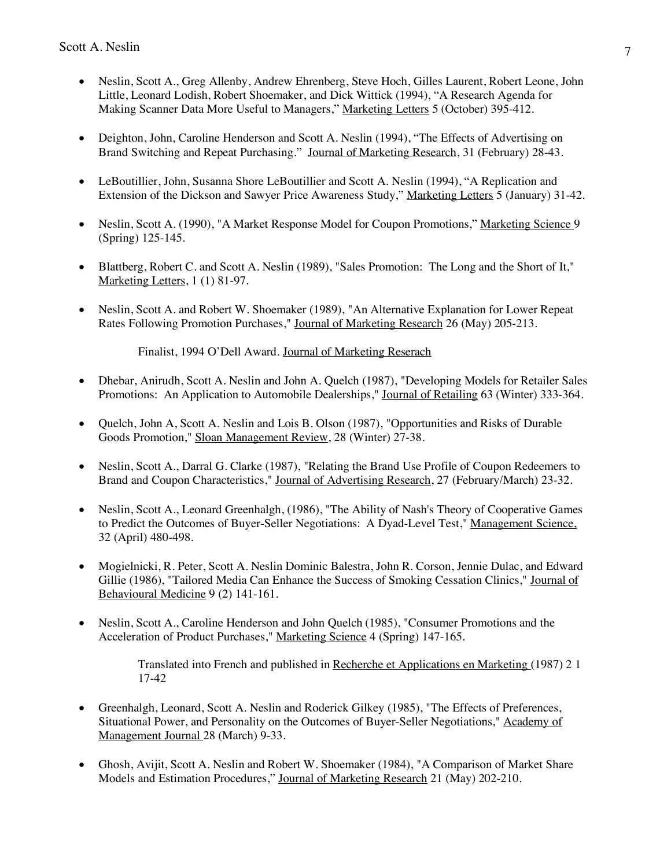- Neslin, Scott A., Greg Allenby, Andrew Ehrenberg, Steve Hoch, Gilles Laurent, Robert Leone, John Little, Leonard Lodish, Robert Shoemaker, and Dick Wittick (1994), "A Research Agenda for Making Scanner Data More Useful to Managers," Marketing Letters 5 (October) 395-412.
- Deighton, John, Caroline Henderson and Scott A. Neslin (1994), "The Effects of Advertising on Brand Switching and Repeat Purchasing." Journal of Marketing Research, 31 (February) 28-43.
- LeBoutillier, John, Susanna Shore LeBoutillier and Scott A. Neslin (1994), "A Replication and Extension of the Dickson and Sawyer Price Awareness Study," Marketing Letters 5 (January) 31-42.
- Neslin, Scott A. (1990), "A Market Response Model for Coupon Promotions," Marketing Science 9 (Spring) 125-145.
- Blattberg, Robert C. and Scott A. Neslin (1989), "Sales Promotion: The Long and the Short of It," Marketing Letters, 1 (1) 81-97.
- Neslin, Scott A. and Robert W. Shoemaker (1989), "An Alternative Explanation for Lower Repeat Rates Following Promotion Purchases," Journal of Marketing Research 26 (May) 205-213.

Finalist, 1994 O'Dell Award. Journal of Marketing Reserach

- Dhebar, Anirudh, Scott A. Neslin and John A. Quelch (1987), "Developing Models for Retailer Sales Promotions: An Application to Automobile Dealerships," Journal of Retailing 63 (Winter) 333-364.
- Quelch, John A, Scott A. Neslin and Lois B. Olson (1987), "Opportunities and Risks of Durable Goods Promotion," Sloan Management Review, 28 (Winter) 27-38.
- Neslin, Scott A., Darral G. Clarke (1987), "Relating the Brand Use Profile of Coupon Redeemers to Brand and Coupon Characteristics," Journal of Advertising Research, 27 (February/March) 23-32.
- Neslin, Scott A., Leonard Greenhalgh, (1986), "The Ability of Nash's Theory of Cooperative Games to Predict the Outcomes of Buyer-Seller Negotiations: A Dyad-Level Test," Management Science, 32 (April) 480-498.
- Mogielnicki, R. Peter, Scott A. Neslin Dominic Balestra, John R. Corson, Jennie Dulac, and Edward Gillie (1986), "Tailored Media Can Enhance the Success of Smoking Cessation Clinics," Journal of Behavioural Medicine 9 (2) 141-161.
- Neslin, Scott A., Caroline Henderson and John Quelch (1985), "Consumer Promotions and the Acceleration of Product Purchases," Marketing Science 4 (Spring) 147-165.

Translated into French and published in Recherche et Applications en Marketing (1987) 2 1 17-42

- Greenhalgh, Leonard, Scott A. Neslin and Roderick Gilkey (1985), "The Effects of Preferences, Situational Power, and Personality on the Outcomes of Buyer-Seller Negotiations," Academy of Management Journal 28 (March) 9-33.
- Ghosh, Avijit, Scott A. Neslin and Robert W. Shoemaker (1984), "A Comparison of Market Share Models and Estimation Procedures," Journal of Marketing Research 21 (May) 202-210.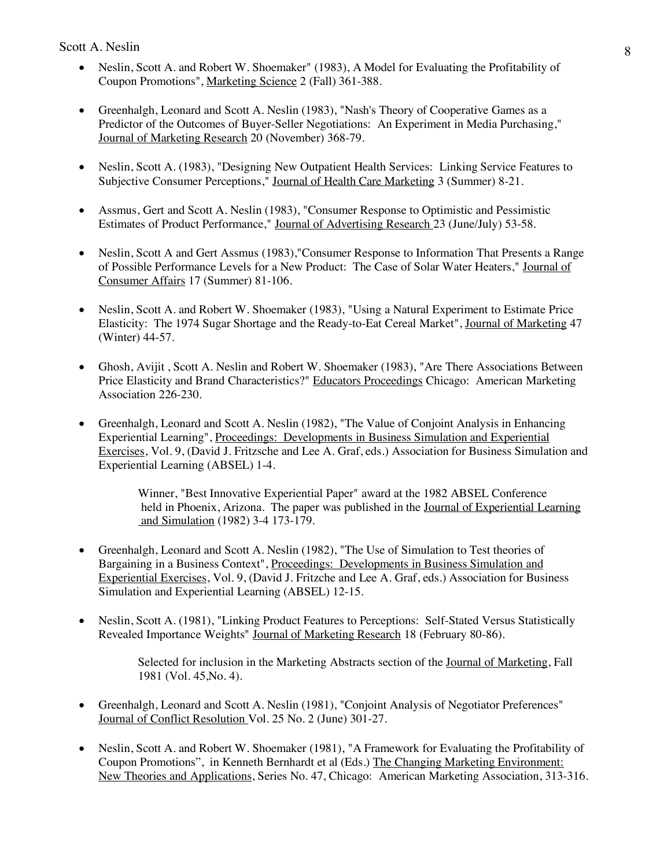- Neslin, Scott A. and Robert W. Shoemaker" (1983), A Model for Evaluating the Profitability of Coupon Promotions", Marketing Science 2 (Fall) 361-388.
- Greenhalgh, Leonard and Scott A. Neslin (1983), "Nash's Theory of Cooperative Games as a Predictor of the Outcomes of Buyer-Seller Negotiations: An Experiment in Media Purchasing," Journal of Marketing Research 20 (November) 368-79.
- Neslin, Scott A. (1983), "Designing New Outpatient Health Services: Linking Service Features to Subjective Consumer Perceptions," Journal of Health Care Marketing 3 (Summer) 8-21.
- Assmus, Gert and Scott A. Neslin (1983), "Consumer Response to Optimistic and Pessimistic Estimates of Product Performance," Journal of Advertising Research 23 (June/July) 53-58.
- Neslin, Scott A and Gert Assmus (1983), "Consumer Response to Information That Presents a Range of Possible Performance Levels for a New Product: The Case of Solar Water Heaters," Journal of Consumer Affairs 17 (Summer) 81-106.
- Neslin, Scott A. and Robert W. Shoemaker (1983), "Using a Natural Experiment to Estimate Price Elasticity: The 1974 Sugar Shortage and the Ready-to-Eat Cereal Market", Journal of Marketing 47 (Winter) 44-57.
- Ghosh, Avijit , Scott A. Neslin and Robert W. Shoemaker (1983), "Are There Associations Between Price Elasticity and Brand Characteristics?" Educators Proceedings Chicago: American Marketing Association 226-230.
- Greenhalgh, Leonard and Scott A. Neslin (1982), "The Value of Conjoint Analysis in Enhancing Experiential Learning", Proceedings: Developments in Business Simulation and Experiential Exercises, Vol. 9, (David J. Fritzsche and Lee A. Graf, eds.) Association for Business Simulation and Experiential Learning (ABSEL) 1-4.

Winner, "Best Innovative Experiential Paper" award at the 1982 ABSEL Conference held in Phoenix, Arizona. The paper was published in the Journal of Experiential Learning and Simulation (1982) 3-4 173-179.

- Greenhalgh, Leonard and Scott A. Neslin (1982), "The Use of Simulation to Test theories of Bargaining in a Business Context", Proceedings: Developments in Business Simulation and Experiential Exercises, Vol. 9, (David J. Fritzche and Lee A. Graf, eds.) Association for Business Simulation and Experiential Learning (ABSEL) 12-15.
- Neslin, Scott A. (1981), "Linking Product Features to Perceptions: Self-Stated Versus Statistically Revealed Importance Weights" Journal of Marketing Research 18 (February 80-86).

Selected for inclusion in the Marketing Abstracts section of the Journal of Marketing, Fall 1981 (Vol. 45,No. 4).

- Greenhalgh, Leonard and Scott A. Neslin (1981), "Conjoint Analysis of Negotiator Preferences" Journal of Conflict Resolution Vol. 25 No. 2 (June) 301-27.
- Neslin, Scott A. and Robert W. Shoemaker (1981), "A Framework for Evaluating the Profitability of Coupon Promotions", in Kenneth Bernhardt et al (Eds.) The Changing Marketing Environment: New Theories and Applications, Series No. 47, Chicago: American Marketing Association, 313-316.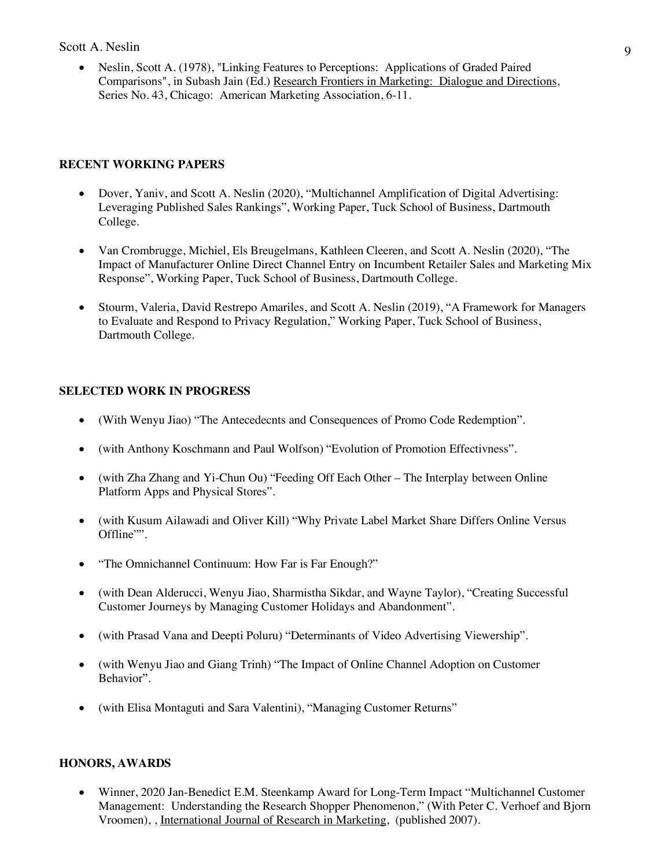• Neslin, Scott A. (1978), "Linking Features to Perceptions: Applications of Graded Paired Comparisons", in Subash Jain (Ed.) Research Frontiers in Marketing: Dialogue and Directions, Series No. 43, Chicago: American Marketing Association, 6-11.

### **RECENT WORKING PAPERS**

- Dover, Yaniv, and Scott A. Neslin (2020), "Multichannel Amplification of Digital Advertising: Leveraging Published Sales Rankings", Working Paper, Tuck School of Business, Dartmouth College.
- Van Crombrugge, Michiel, Els Breugelmans, Kathleen Cleeren, and Scott A. Neslin (2020), "The Impact of Manufacturer Online Direct Channel Entry on Incumbent Retailer Sales and Marketing Mix Response", Working Paper, Tuck School of Business, Dartmouth College.
- Stourm, Valeria, David Restrepo Amariles, and Scott A. Neslin (2019), "A Framework for Managers to Evaluate and Respond to Privacy Regulation," Working Paper, Tuck School of Business, Dartmouth College.

### **SELECTED WORK IN PROGRESS**

- (With Wenyu Jiao) "The Antecedecnts and Consequences of Promo Code Redemption".
- (with Anthony Koschmann and Paul Wolfson) "Evolution of Promotion Effectivness".
- (with Zha Zhang and Yi-Chun Ou) "Feeding Off Each Other The Interplay between Online Platform Apps and Physical Stores".
- (with Kusum Ailawadi and Oliver Kill) "Why Private Label Market Share Differs Online Versus Offline"".
- "The Omnichannel Continuum: How Far is Far Enough?"
- (with Dean Alderucci, Wenyu Jiao, Sharmistha Sikdar, and Wayne Taylor), "Creating Successful Customer Journeys by Managing Customer Holidays and Abandonment".
- (with Prasad Vana and Deepti Poluru) "Determinants of Video Advertising Viewership".
- (with Wenyu Jiao and Giang Trinh) "The Impact of Online Channel Adoption on Customer Behavior".
- (with Elisa Montaguti and Sara Valentini), "Managing Customer Returns"

### **HONORS, AWARDS**

• Winner, 2020 Jan-Benedict E.M. Steenkamp Award for Long-Term Impact "Multichannel Customer" Management: Understanding the Research Shopper Phenomenon," (With Peter C. Verhoef and Bjorn Vroomen), , International Journal of Research in Marketing, (published 2007).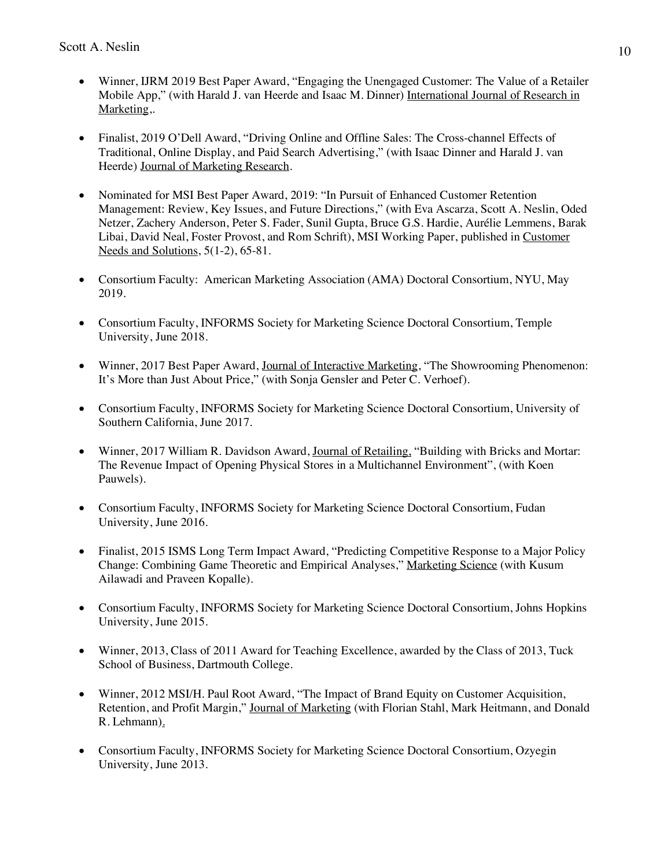- Winner, IJRM 2019 Best Paper Award, "Engaging the Unengaged Customer: The Value of a Retailer Mobile App," (with Harald J. van Heerde and Isaac M. Dinner) International Journal of Research in Marketing,.
- Finalist, 2019 O'Dell Award, "Driving Online and Offline Sales: The Cross-channel Effects of Traditional, Online Display, and Paid Search Advertising," (with Isaac Dinner and Harald J. van Heerde) Journal of Marketing Research.
- Nominated for MSI Best Paper Award, 2019: "In Pursuit of Enhanced Customer Retention Management: Review, Key Issues, and Future Directions," (with Eva Ascarza, Scott A. Neslin, Oded Netzer, Zachery Anderson, Peter S. Fader, Sunil Gupta, Bruce G.S. Hardie, Aurélie Lemmens, Barak Libai, David Neal, Foster Provost, and Rom Schrift), MSI Working Paper, published in Customer Needs and Solutions, 5(1-2), 65-81.
- Consortium Faculty: American Marketing Association (AMA) Doctoral Consortium, NYU, May 2019.
- Consortium Faculty, INFORMS Society for Marketing Science Doctoral Consortium, Temple University, June 2018.
- Winner, 2017 Best Paper Award, Journal of Interactive Marketing, "The Showrooming Phenomenon: It's More than Just About Price," (with Sonja Gensler and Peter C. Verhoef).
- Consortium Faculty, INFORMS Society for Marketing Science Doctoral Consortium, University of Southern California, June 2017.
- Winner, 2017 William R. Davidson Award, Journal of Retailing, "Building with Bricks and Mortar: The Revenue Impact of Opening Physical Stores in a Multichannel Environment", (with Koen Pauwels).
- Consortium Faculty, INFORMS Society for Marketing Science Doctoral Consortium, Fudan University, June 2016.
- Finalist, 2015 ISMS Long Term Impact Award, "Predicting Competitive Response to a Major Policy Change: Combining Game Theoretic and Empirical Analyses," Marketing Science (with Kusum Ailawadi and Praveen Kopalle).
- Consortium Faculty, INFORMS Society for Marketing Science Doctoral Consortium, Johns Hopkins University, June 2015.
- Winner, 2013, Class of 2011 Award for Teaching Excellence, awarded by the Class of 2013, Tuck School of Business, Dartmouth College.
- Winner, 2012 MSI/H. Paul Root Award, "The Impact of Brand Equity on Customer Acquisition, Retention, and Profit Margin," Journal of Marketing (with Florian Stahl, Mark Heitmann, and Donald R. Lehmann).
- Consortium Faculty, INFORMS Society for Marketing Science Doctoral Consortium, Ozyegin University, June 2013.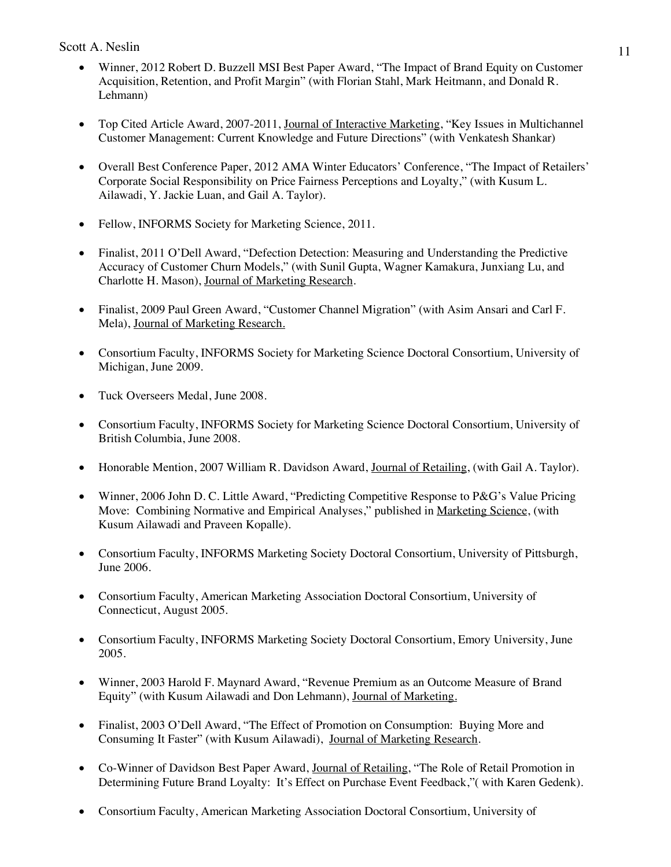- Winner, 2012 Robert D. Buzzell MSI Best Paper Award, "The Impact of Brand Equity on Customer Acquisition, Retention, and Profit Margin" (with Florian Stahl, Mark Heitmann, and Donald R. Lehmann)
- Top Cited Article Award, 2007-2011, Journal of Interactive Marketing, "Key Issues in Multichannel Customer Management: Current Knowledge and Future Directions" (with Venkatesh Shankar)
- Overall Best Conference Paper, 2012 AMA Winter Educators' Conference, "The Impact of Retailers' Corporate Social Responsibility on Price Fairness Perceptions and Loyalty," (with Kusum L. Ailawadi, Y. Jackie Luan, and Gail A. Taylor).
- Fellow, INFORMS Society for Marketing Science, 2011.
- Finalist, 2011 O'Dell Award, "Defection Detection: Measuring and Understanding the Predictive Accuracy of Customer Churn Models," (with Sunil Gupta, Wagner Kamakura, Junxiang Lu, and Charlotte H. Mason), Journal of Marketing Research.
- Finalist, 2009 Paul Green Award, "Customer Channel Migration" (with Asim Ansari and Carl F. Mela), Journal of Marketing Research.
- Consortium Faculty, INFORMS Society for Marketing Science Doctoral Consortium, University of Michigan, June 2009.
- Tuck Overseers Medal, June 2008.
- Consortium Faculty, INFORMS Society for Marketing Science Doctoral Consortium, University of British Columbia, June 2008.
- Honorable Mention, 2007 William R. Davidson Award, Journal of Retailing, (with Gail A. Taylor).
- Winner, 2006 John D. C. Little Award, "Predicting Competitive Response to P&G's Value Pricing Move: Combining Normative and Empirical Analyses," published in Marketing Science, (with Kusum Ailawadi and Praveen Kopalle).
- Consortium Faculty, INFORMS Marketing Society Doctoral Consortium, University of Pittsburgh, June 2006.
- Consortium Faculty, American Marketing Association Doctoral Consortium, University of Connecticut, August 2005.
- Consortium Faculty, INFORMS Marketing Society Doctoral Consortium, Emory University, June 2005.
- Winner, 2003 Harold F. Maynard Award, "Revenue Premium as an Outcome Measure of Brand Equity" (with Kusum Ailawadi and Don Lehmann), Journal of Marketing.
- Finalist, 2003 O'Dell Award, "The Effect of Promotion on Consumption: Buying More and Consuming It Faster" (with Kusum Ailawadi), Journal of Marketing Research.
- Co-Winner of Davidson Best Paper Award, Journal of Retailing, "The Role of Retail Promotion in Determining Future Brand Loyalty: It's Effect on Purchase Event Feedback,"( with Karen Gedenk).
- Consortium Faculty, American Marketing Association Doctoral Consortium, University of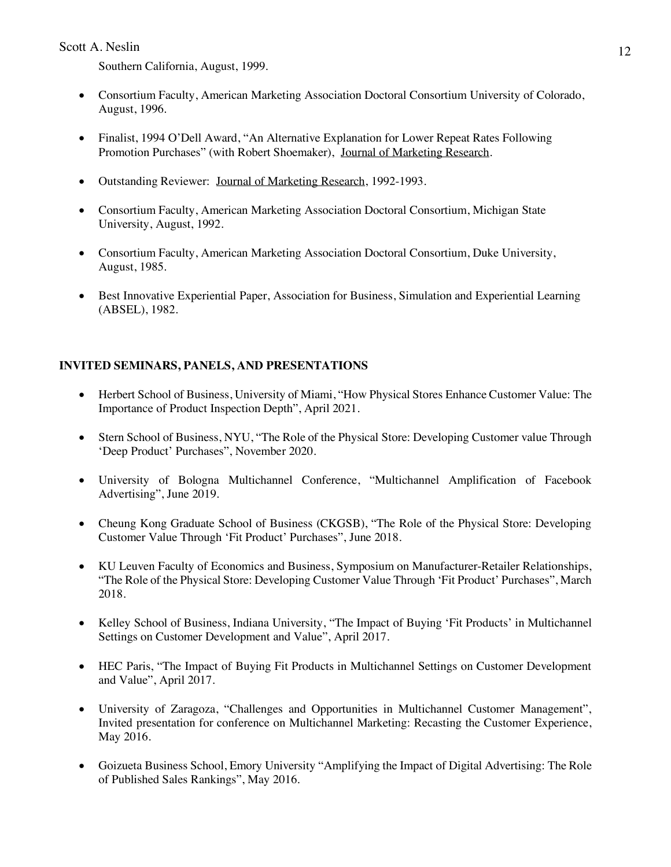Southern California, August, 1999.

- Consortium Faculty, American Marketing Association Doctoral Consortium University of Colorado, August, 1996.
- Finalist, 1994 O'Dell Award, "An Alternative Explanation for Lower Repeat Rates Following Promotion Purchases" (with Robert Shoemaker), Journal of Marketing Research.
- Outstanding Reviewer: Journal of Marketing Research, 1992-1993.
- Consortium Faculty, American Marketing Association Doctoral Consortium, Michigan State University, August, 1992.
- Consortium Faculty, American Marketing Association Doctoral Consortium, Duke University, August, 1985.
- Best Innovative Experiential Paper, Association for Business, Simulation and Experiential Learning (ABSEL), 1982.

# **INVITED SEMINARS, PANELS, AND PRESENTATIONS**

- Herbert School of Business, University of Miami, "How Physical Stores Enhance Customer Value: The Importance of Product Inspection Depth", April 2021.
- Stern School of Business, NYU, "The Role of the Physical Store: Developing Customer value Through 'Deep Product' Purchases", November 2020.
- University of Bologna Multichannel Conference, "Multichannel Amplification of Facebook Advertising", June 2019.
- Cheung Kong Graduate School of Business (CKGSB), "The Role of the Physical Store: Developing Customer Value Through 'Fit Product' Purchases", June 2018.
- KU Leuven Faculty of Economics and Business, Symposium on Manufacturer-Retailer Relationships, "The Role of the Physical Store: Developing Customer Value Through 'Fit Product' Purchases", March 2018.
- Kelley School of Business, Indiana University, "The Impact of Buying 'Fit Products' in Multichannel Settings on Customer Development and Value", April 2017.
- HEC Paris, "The Impact of Buying Fit Products in Multichannel Settings on Customer Development and Value", April 2017.
- University of Zaragoza, "Challenges and Opportunities in Multichannel Customer Management", Invited presentation for conference on Multichannel Marketing: Recasting the Customer Experience, May 2016.
- Goizueta Business School, Emory University "Amplifying the Impact of Digital Advertising: The Role of Published Sales Rankings", May 2016.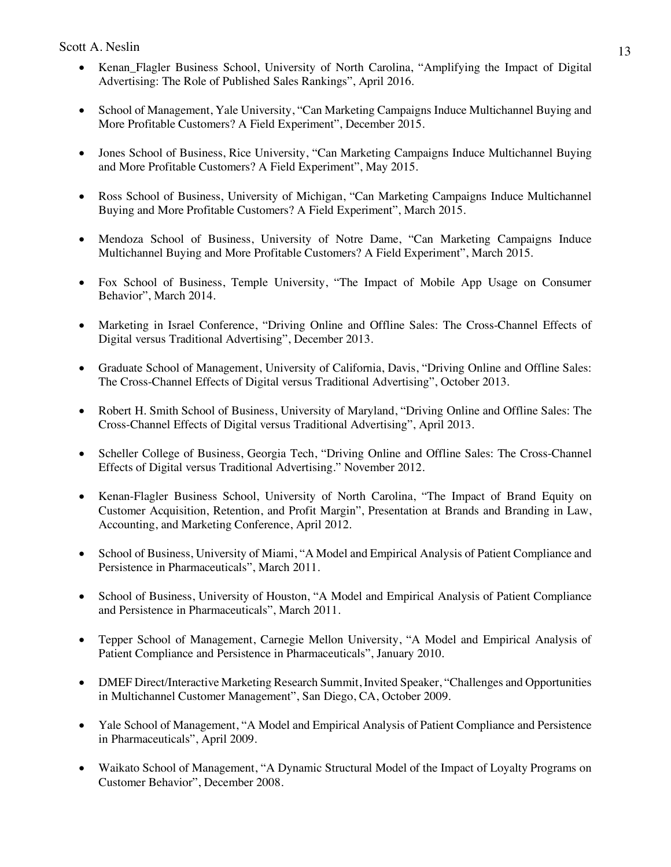- Kenan Flagler Business School, University of North Carolina, "Amplifying the Impact of Digital Advertising: The Role of Published Sales Rankings", April 2016.
- School of Management, Yale University, "Can Marketing Campaigns Induce Multichannel Buying and More Profitable Customers? A Field Experiment", December 2015.
- Jones School of Business, Rice University, "Can Marketing Campaigns Induce Multichannel Buying and More Profitable Customers? A Field Experiment", May 2015.
- Ross School of Business, University of Michigan, "Can Marketing Campaigns Induce Multichannel Buying and More Profitable Customers? A Field Experiment", March 2015.
- Mendoza School of Business, University of Notre Dame, "Can Marketing Campaigns Induce Multichannel Buying and More Profitable Customers? A Field Experiment", March 2015.
- Fox School of Business, Temple University, "The Impact of Mobile App Usage on Consumer Behavior", March 2014.
- Marketing in Israel Conference, "Driving Online and Offline Sales: The Cross-Channel Effects of Digital versus Traditional Advertising", December 2013.
- Graduate School of Management, University of California, Davis, "Driving Online and Offline Sales: The Cross-Channel Effects of Digital versus Traditional Advertising", October 2013.
- Robert H. Smith School of Business, University of Maryland, "Driving Online and Offline Sales: The Cross-Channel Effects of Digital versus Traditional Advertising", April 2013.
- Scheller College of Business, Georgia Tech, "Driving Online and Offline Sales: The Cross-Channel Effects of Digital versus Traditional Advertising." November 2012.
- Kenan-Flagler Business School, University of North Carolina, "The Impact of Brand Equity on Customer Acquisition, Retention, and Profit Margin", Presentation at Brands and Branding in Law, Accounting, and Marketing Conference, April 2012.
- School of Business, University of Miami, "A Model and Empirical Analysis of Patient Compliance and Persistence in Pharmaceuticals", March 2011.
- School of Business, University of Houston, "A Model and Empirical Analysis of Patient Compliance and Persistence in Pharmaceuticals", March 2011.
- Tepper School of Management, Carnegie Mellon University, "A Model and Empirical Analysis of Patient Compliance and Persistence in Pharmaceuticals", January 2010.
- DMEF Direct/Interactive Marketing Research Summit, Invited Speaker, "Challenges and Opportunities in Multichannel Customer Management", San Diego, CA, October 2009.
- Yale School of Management, "A Model and Empirical Analysis of Patient Compliance and Persistence in Pharmaceuticals", April 2009.
- Waikato School of Management, "A Dynamic Structural Model of the Impact of Loyalty Programs on Customer Behavior", December 2008.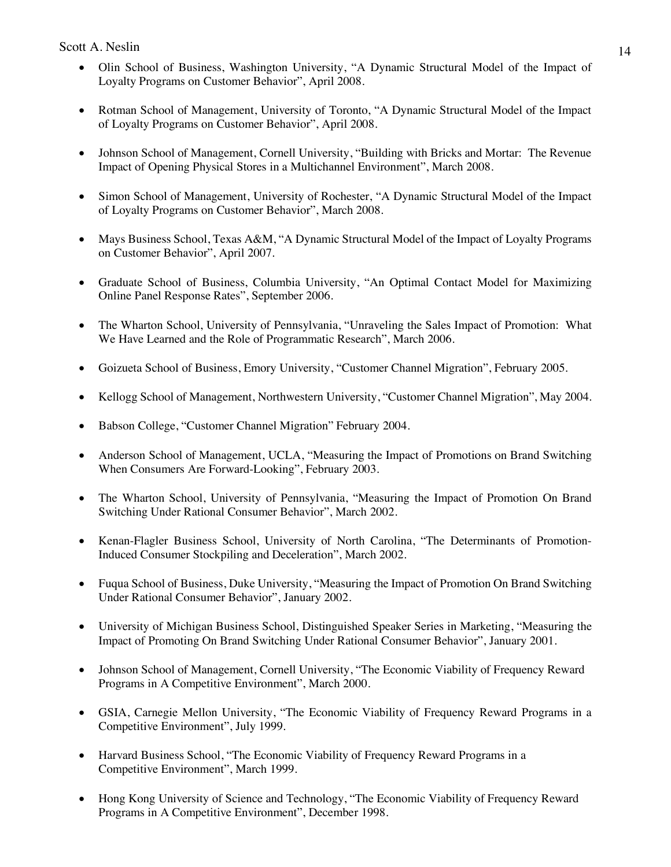- Olin School of Business, Washington University, "A Dynamic Structural Model of the Impact of Loyalty Programs on Customer Behavior", April 2008.
- Rotman School of Management, University of Toronto, "A Dynamic Structural Model of the Impact of Loyalty Programs on Customer Behavior", April 2008.
- Johnson School of Management, Cornell University, "Building with Bricks and Mortar: The Revenue Impact of Opening Physical Stores in a Multichannel Environment", March 2008.
- Simon School of Management, University of Rochester, "A Dynamic Structural Model of the Impact of Loyalty Programs on Customer Behavior", March 2008.
- Mays Business School, Texas A&M, "A Dynamic Structural Model of the Impact of Loyalty Programs on Customer Behavior", April 2007.
- Graduate School of Business, Columbia University, "An Optimal Contact Model for Maximizing Online Panel Response Rates", September 2006.
- The Wharton School, University of Pennsylvania, "Unraveling the Sales Impact of Promotion: What We Have Learned and the Role of Programmatic Research", March 2006.
- Goizueta School of Business, Emory University, "Customer Channel Migration", February 2005.
- Kellogg School of Management, Northwestern University, "Customer Channel Migration", May 2004.
- Babson College, "Customer Channel Migration" February 2004.
- Anderson School of Management, UCLA, "Measuring the Impact of Promotions on Brand Switching When Consumers Are Forward-Looking", February 2003.
- The Wharton School, University of Pennsylvania, "Measuring the Impact of Promotion On Brand Switching Under Rational Consumer Behavior", March 2002.
- Kenan-Flagler Business School, University of North Carolina, "The Determinants of Promotion-Induced Consumer Stockpiling and Deceleration", March 2002.
- Fuqua School of Business, Duke University, "Measuring the Impact of Promotion On Brand Switching Under Rational Consumer Behavior", January 2002.
- University of Michigan Business School, Distinguished Speaker Series in Marketing, "Measuring the Impact of Promoting On Brand Switching Under Rational Consumer Behavior", January 2001.
- Johnson School of Management, Cornell University, "The Economic Viability of Frequency Reward Programs in A Competitive Environment", March 2000.
- GSIA, Carnegie Mellon University, "The Economic Viability of Frequency Reward Programs in a Competitive Environment", July 1999.
- Harvard Business School, "The Economic Viability of Frequency Reward Programs in a Competitive Environment", March 1999.
- Hong Kong University of Science and Technology, "The Economic Viability of Frequency Reward Programs in A Competitive Environment", December 1998.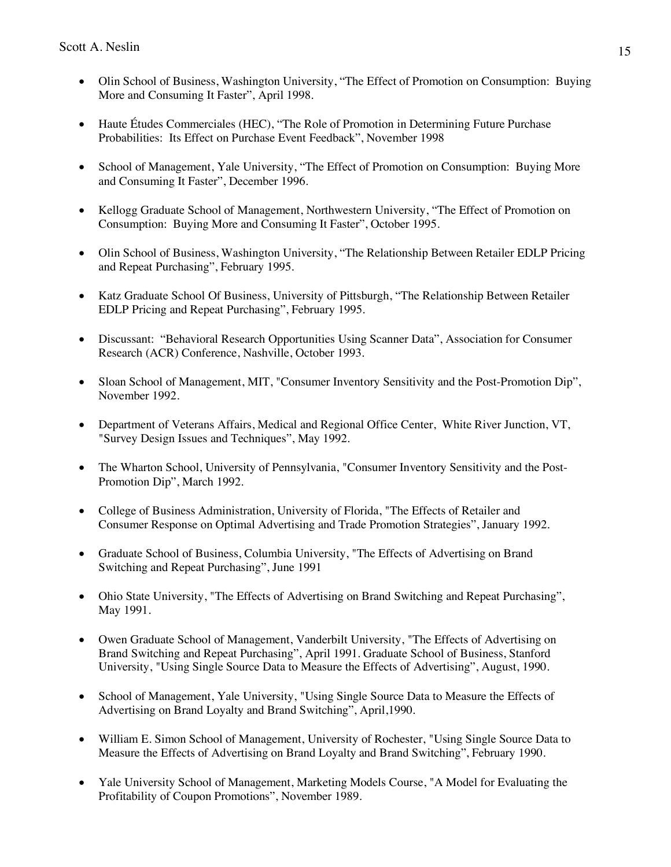- Olin School of Business, Washington University, "The Effect of Promotion on Consumption: Buying More and Consuming It Faster", April 1998.
- Haute Études Commerciales (HEC), "The Role of Promotion in Determining Future Purchase Probabilities: Its Effect on Purchase Event Feedback", November 1998
- School of Management, Yale University, "The Effect of Promotion on Consumption: Buying More and Consuming It Faster", December 1996.
- Kellogg Graduate School of Management, Northwestern University, "The Effect of Promotion on Consumption: Buying More and Consuming It Faster", October 1995.
- Olin School of Business, Washington University, "The Relationship Between Retailer EDLP Pricing and Repeat Purchasing", February 1995.
- Katz Graduate School Of Business, University of Pittsburgh, "The Relationship Between Retailer EDLP Pricing and Repeat Purchasing", February 1995.
- Discussant: "Behavioral Research Opportunities Using Scanner Data", Association for Consumer Research (ACR) Conference, Nashville, October 1993.
- Sloan School of Management, MIT, "Consumer Inventory Sensitivity and the Post-Promotion Dip", November 1992.
- Department of Veterans Affairs, Medical and Regional Office Center, White River Junction, VT, "Survey Design Issues and Techniques", May 1992.
- The Wharton School, University of Pennsylvania, "Consumer Inventory Sensitivity and the Post-Promotion Dip", March 1992.
- College of Business Administration, University of Florida, "The Effects of Retailer and Consumer Response on Optimal Advertising and Trade Promotion Strategies", January 1992.
- Graduate School of Business, Columbia University, "The Effects of Advertising on Brand Switching and Repeat Purchasing", June 1991
- Ohio State University, "The Effects of Advertising on Brand Switching and Repeat Purchasing", May 1991.
- Owen Graduate School of Management, Vanderbilt University, "The Effects of Advertising on Brand Switching and Repeat Purchasing", April 1991. Graduate School of Business, Stanford University, "Using Single Source Data to Measure the Effects of Advertising", August, 1990.
- School of Management, Yale University, "Using Single Source Data to Measure the Effects of Advertising on Brand Loyalty and Brand Switching", April,1990.
- William E. Simon School of Management, University of Rochester, "Using Single Source Data to Measure the Effects of Advertising on Brand Loyalty and Brand Switching", February 1990.
- Yale University School of Management, Marketing Models Course, "A Model for Evaluating the Profitability of Coupon Promotions", November 1989.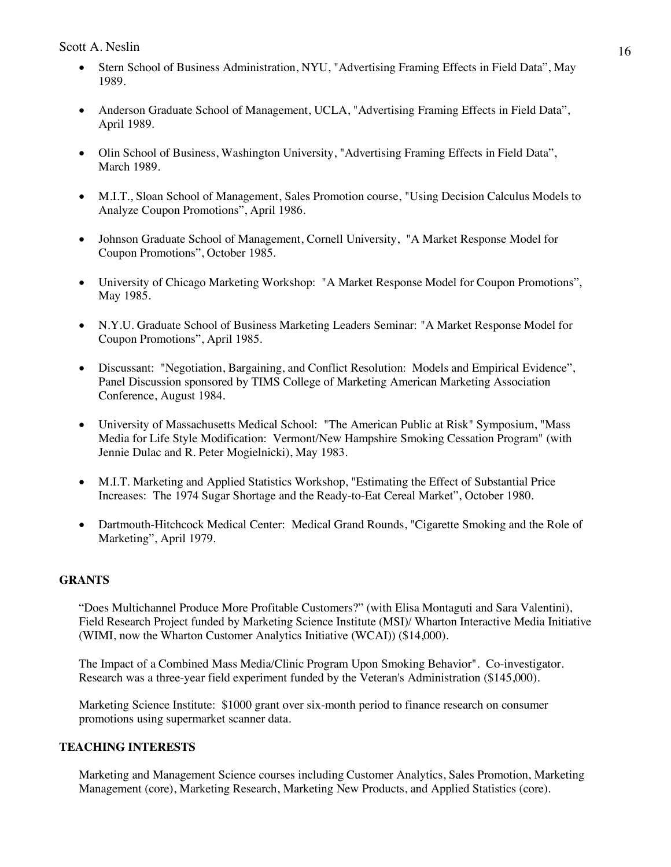- Stern School of Business Administration, NYU, "Advertising Framing Effects in Field Data", May 1989.
- Anderson Graduate School of Management, UCLA, "Advertising Framing Effects in Field Data", April 1989.
- Olin School of Business, Washington University, "Advertising Framing Effects in Field Data", March 1989.
- M.I.T., Sloan School of Management, Sales Promotion course, "Using Decision Calculus Models to Analyze Coupon Promotions", April 1986.
- Johnson Graduate School of Management, Cornell University, "A Market Response Model for Coupon Promotions", October 1985.
- University of Chicago Marketing Workshop: "A Market Response Model for Coupon Promotions", May 1985.
- N.Y.U. Graduate School of Business Marketing Leaders Seminar: "A Market Response Model for Coupon Promotions", April 1985.
- Discussant: "Negotiation, Bargaining, and Conflict Resolution: Models and Empirical Evidence", Panel Discussion sponsored by TIMS College of Marketing American Marketing Association Conference, August 1984.
- University of Massachusetts Medical School: "The American Public at Risk" Symposium, "Mass Media for Life Style Modification: Vermont/New Hampshire Smoking Cessation Program" (with Jennie Dulac and R. Peter Mogielnicki), May 1983.
- M.I.T. Marketing and Applied Statistics Workshop, "Estimating the Effect of Substantial Price Increases: The 1974 Sugar Shortage and the Ready-to-Eat Cereal Market", October 1980.
- Dartmouth-Hitchcock Medical Center: Medical Grand Rounds, "Cigarette Smoking and the Role of Marketing", April 1979.

### **GRANTS**

"Does Multichannel Produce More Profitable Customers?" (with Elisa Montaguti and Sara Valentini), Field Research Project funded by Marketing Science Institute (MSI)/ Wharton Interactive Media Initiative (WIMI, now the Wharton Customer Analytics Initiative (WCAI)) (\$14,000).

The Impact of a Combined Mass Media/Clinic Program Upon Smoking Behavior". Co-investigator. Research was a three-year field experiment funded by the Veteran's Administration (\$145,000).

Marketing Science Institute: \$1000 grant over six-month period to finance research on consumer promotions using supermarket scanner data.

## **TEACHING INTERESTS**

Marketing and Management Science courses including Customer Analytics, Sales Promotion, Marketing Management (core), Marketing Research, Marketing New Products, and Applied Statistics (core).